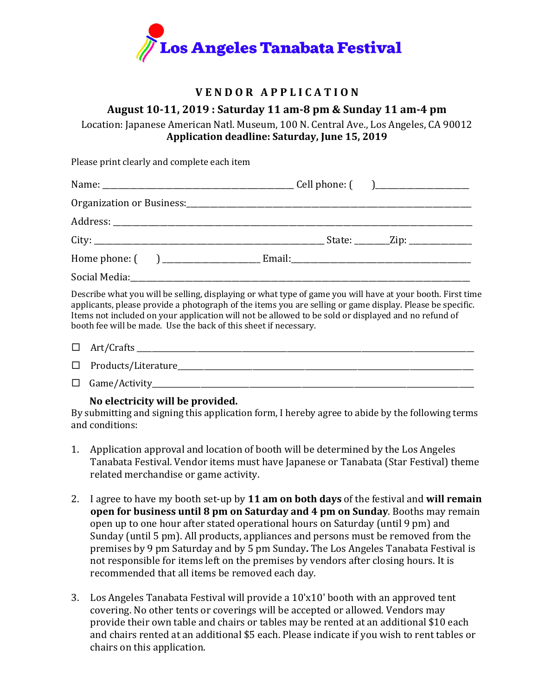

## **VENDOR APPLICATION**

## **August 10-11, 2019 : Saturday 11 am-8 pm & Sunday 11 am-4 pm**

Location: Japanese American Natl. Museum, 100 N. Central Ave., Los Angeles, CA 90012 **Application deadline: Saturday, June 15, 2019**

Please print clearly and complete each item

|                                 | __ State: _______Zip: _____________ |  |
|---------------------------------|-------------------------------------|--|
|                                 |                                     |  |
| Social Media:__________________ |                                     |  |

Describe what you will be selling, displaying or what type of game you will have at your booth. First time applicants, please provide a photograph of the items you are selling or game display. Please be specific. Items not included on your application will not be allowed to be sold or displayed and no refund of booth fee will be made. Use the back of this sheet if necessary.

- ¨ Art/Crafts \_\_\_\_\_\_\_\_\_\_\_\_\_\_\_\_\_\_\_\_\_\_\_\_\_\_\_\_\_\_\_\_\_\_\_\_\_\_\_\_\_\_\_\_\_\_\_\_\_\_\_\_\_\_\_\_\_\_\_\_\_\_\_\_\_\_\_\_\_\_\_\_\_\_\_\_\_\_\_\_\_\_\_\_\_\_\_\_\_\_
- $\Box$  Products/Literature
- $\Box$  Game/Activity

## **No electricity will be provided.**

By submitting and signing this application form, I hereby agree to abide by the following terms and conditions:

- 1. Application approval and location of booth will be determined by the Los Angeles Tanabata Festival. Vendor items must have Japanese or Tanabata (Star Festival) theme related merchandise or game activity.
- 2. I agree to have my booth set-up by **11 am on both days** of the festival and **will remain open for business until 8 pm on Saturday and 4 pm on Sunday.** Booths may remain open up to one hour after stated operational hours on Saturday (until 9 pm) and Sunday (until 5 pm). All products, appliances and persons must be removed from the premises by 9 pm Saturday and by 5 pm Sunday. The Los Angeles Tanabata Festival is not responsible for items left on the premises by vendors after closing hours. It is recommended that all items be removed each day.
- 3. Los Angeles Tanabata Festival will provide a  $10'x10'$  booth with an approved tent covering. No other tents or coverings will be accepted or allowed. Vendors may provide their own table and chairs or tables may be rented at an additional \$10 each and chairs rented at an additional \$5 each. Please indicate if you wish to rent tables or chairs on this application.